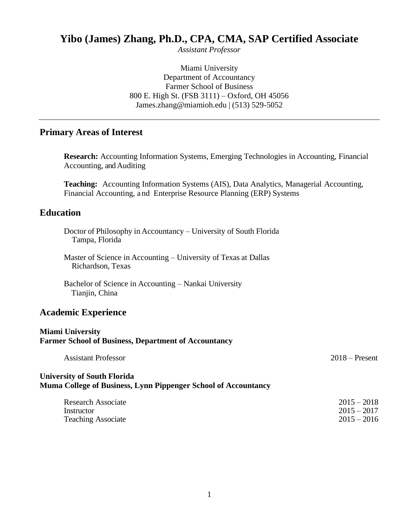## **Yibo (James) Zhang, Ph.D., CPA, CMA, SAP Certified Associate**

*Assistant Professor*

Miami University Department of Accountancy Farmer School of Business 800 E. High St. (FSB 3111) – Oxford, OH 45056 James.zhang@miamioh.edu | (513) 529-5052

## **Primary Areas of Interest**

**Research:** Accounting Information Systems, Emerging Technologies in Accounting, Financial Accounting, and Auditing

**Teaching:** Accounting Information Systems (AIS), Data Analytics, Managerial Accounting, Financial Accounting, a nd Enterprise Resource Planning (ERP) Systems

#### **Education**

| Doctor of Philosophy in Accountancy – University of South Florida |  |  |
|-------------------------------------------------------------------|--|--|
| Tampa, Florida                                                    |  |  |

Master of Science in Accounting – University of Texas at Dallas Richardson, Texas

Bachelor of Science in Accounting – Nankai University Tianjin, China

#### **Academic Experience**

#### **Miami University Farmer School of Business, Department of Accountancy**

| <b>Assistant Professor</b> | $2018$ – Present |
|----------------------------|------------------|
|                            |                  |

#### **University of South Florida Muma College of Business, Lynn Pippenger School of Accountancy**

| <b>Research Associate</b> | $2015 - 2018$ |
|---------------------------|---------------|
| Instructor                | $2015 - 2017$ |
| <b>Teaching Associate</b> | $2015 - 2016$ |
|                           |               |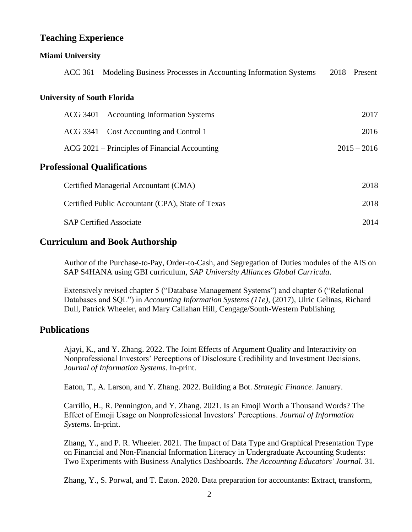## **Teaching Experience**

#### **Miami University**

| ACC 361 – Modeling Business Processes in Accounting Information Systems | $2018 -$ Present |
|-------------------------------------------------------------------------|------------------|
| <b>University of South Florida</b>                                      |                  |
| ACG 3401 – Accounting Information Systems                               | 2017             |
| ACG 3341 – Cost Accounting and Control 1                                | 2016             |
| ACG 2021 – Principles of Financial Accounting                           | $2015 - 2016$    |
| <b>Professional Qualifications</b>                                      |                  |
| Certified Managerial Accountant (CMA)                                   | 2018             |
| Certified Public Accountant (CPA), State of Texas                       | 2018             |
| <b>SAP Certified Associate</b>                                          | 2014             |

## **Curriculum and Book Authorship**

Author of the Purchase-to-Pay, Order-to-Cash, and Segregation of Duties modules of the AIS on SAP S4HANA using GBI curriculum, *SAP University Alliances Global Curricula*.

Extensively revised chapter 5 ("Database Management Systems") and chapter 6 ("Relational Databases and SQL") in *Accounting Information Systems (11e),* (2017), Ulric Gelinas, Richard Dull, Patrick Wheeler, and Mary Callahan Hill, Cengage/South-Western Publishing

### **Publications**

Ajayi, K., and Y. Zhang. 2022. The Joint Effects of Argument Quality and Interactivity on Nonprofessional Investors' Perceptions of Disclosure Credibility and Investment Decisions. *Journal of Information Systems*. In-print.

Eaton, T., A. Larson, and Y. Zhang. 2022. Building a Bot. *Strategic Finance*. January.

Carrillo, H., R. Pennington, and Y. Zhang. 2021. Is an Emoji Worth a Thousand Words? The Effect of Emoji Usage on Nonprofessional Investors' Perceptions. *Journal of Information Systems*. In-print.

Zhang, Y., and P. R. Wheeler. 2021. The Impact of Data Type and Graphical Presentation Type on Financial and Non-Financial Information Literacy in Undergraduate Accounting Students: Two Experiments with Business Analytics Dashboards. *The Accounting Educators' Journal*. 31.

Zhang, Y., S. Porwal, and T. Eaton. 2020. Data preparation for accountants: Extract, transform,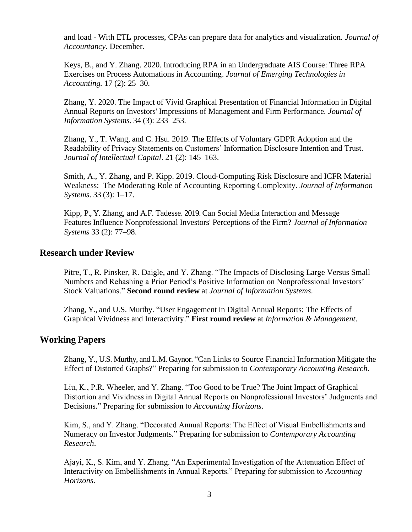and load - With ETL processes, CPAs can prepare data for analytics and visualization. *Journal of Accountancy.* December.

Keys, B., and Y. Zhang. 2020. Introducing RPA in an Undergraduate AIS Course: Three RPA Exercises on Process Automations in Accounting. *Journal of Emerging Technologies in Accounting.* 17 (2): 25–30.

Zhang, Y. 2020. The Impact of Vivid Graphical Presentation of Financial Information in Digital Annual Reports on Investors' Impressions of Management and Firm Performance. *Journal of Information Systems*. 34 (3): 233–253.

Zhang, Y., T. Wang, and C. Hsu. 2019. The Effects of Voluntary GDPR Adoption and the Readability of Privacy Statements on Customers' Information Disclosure Intention and Trust. *Journal of Intellectual Capital*. 21 (2): 145–163.

Smith, A., Y. Zhang, and P. Kipp. 2019. Cloud-Computing Risk Disclosure and ICFR Material Weakness: The Moderating Role of Accounting Reporting Complexity. *Journal of Information Systems*. 33 (3): 1–17.

Kipp, P., Y. Zhang, and A.F. Tadesse. 2019. Can Social Media Interaction and Message Features Influence Nonprofessional Investors' Perceptions of the Firm? *Journal of Information Systems* 33 (2): 77–98.

#### **Research under Review**

Pitre, T., R. Pinsker, R. Daigle, and Y. Zhang. "The Impacts of Disclosing Large Versus Small Numbers and Rehashing a Prior Period's Positive Information on Nonprofessional Investors' Stock Valuations." **Second round review** at *Journal of Information Systems.*

Zhang, Y., and U.S. Murthy. "User Engagement in Digital Annual Reports: The Effects of Graphical Vividness and Interactivity." **First round review** at *Information & Management*.

#### **Working Papers**

Zhang, Y., U.S. Murthy, and L.M. Gaynor. "Can Links to Source Financial Information Mitigate the Effect of Distorted Graphs?" Preparing for submission to *Contemporary Accounting Research.*

Liu, K., P.R. Wheeler, and Y. Zhang. "Too Good to be True? The Joint Impact of Graphical Distortion and Vividness in Digital Annual Reports on Nonprofessional Investors' Judgments and Decisions." Preparing for submission to *Accounting Horizons*.

Kim, S., and Y. Zhang. "Decorated Annual Reports: The Effect of Visual Embellishments and Numeracy on Investor Judgments." Preparing for submission to *Contemporary Accounting Research*.

Ajayi, K., S. Kim, and Y. Zhang. "An Experimental Investigation of the Attenuation Effect of Interactivity on Embellishments in Annual Reports." Preparing for submission to *Accounting Horizons*.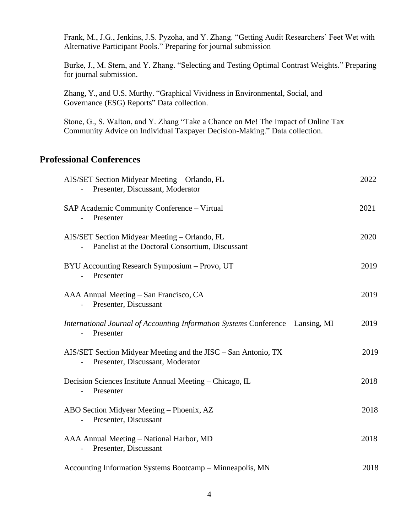Frank, M., J.G., Jenkins, J.S. Pyzoha, and Y. Zhang. "Getting Audit Researchers' Feet Wet with Alternative Participant Pools." Preparing for journal submission

Burke, J., M. Stern, and Y. Zhang. "Selecting and Testing Optimal Contrast Weights." Preparing for journal submission.

Zhang, Y., and U.S. Murthy. "Graphical Vividness in Environmental, Social, and Governance (ESG) Reports" Data collection.

Stone, G., S. Walton, and Y. Zhang "Take a Chance on Me! The Impact of Online Tax Community Advice on Individual Taxpayer Decision-Making." Data collection.

## **Professional Conferences**

| AIS/SET Section Midyear Meeting - Orlando, FL<br>Presenter, Discussant, Moderator                  | 2022 |
|----------------------------------------------------------------------------------------------------|------|
| SAP Academic Community Conference - Virtual<br>Presenter                                           | 2021 |
| AIS/SET Section Midyear Meeting - Orlando, FL<br>Panelist at the Doctoral Consortium, Discussant   | 2020 |
| BYU Accounting Research Symposium - Provo, UT<br>Presenter                                         | 2019 |
| AAA Annual Meeting - San Francisco, CA<br>Presenter, Discussant                                    | 2019 |
| International Journal of Accounting Information Systems Conference – Lansing, MI<br>Presenter      | 2019 |
| AIS/SET Section Midyear Meeting and the JISC – San Antonio, TX<br>Presenter, Discussant, Moderator | 2019 |
| Decision Sciences Institute Annual Meeting - Chicago, IL<br>Presenter                              | 2018 |
| ABO Section Midyear Meeting - Phoenix, AZ<br>Presenter, Discussant                                 | 2018 |
| AAA Annual Meeting - National Harbor, MD<br>Presenter, Discussant                                  | 2018 |
| Accounting Information Systems Bootcamp - Minneapolis, MN                                          | 2018 |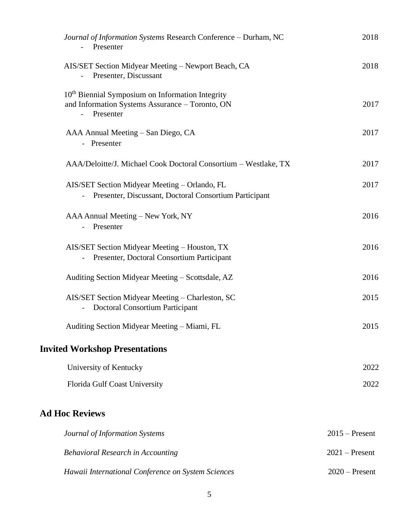| Journal of Information Systems Research Conference - Durham, NC<br>Presenter                                                 | 2018             |
|------------------------------------------------------------------------------------------------------------------------------|------------------|
| AIS/SET Section Midyear Meeting - Newport Beach, CA<br>Presenter, Discussant                                                 | 2018             |
| 10 <sup>th</sup> Biennial Symposium on Information Integrity<br>and Information Systems Assurance - Toronto, ON<br>Presenter | 2017             |
| AAA Annual Meeting – San Diego, CA<br>- Presenter                                                                            | 2017             |
| AAA/Deloitte/J. Michael Cook Doctoral Consortium - Westlake, TX                                                              | 2017             |
| AIS/SET Section Midyear Meeting - Orlando, FL<br>Presenter, Discussant, Doctoral Consortium Participant                      | 2017             |
| AAA Annual Meeting - New York, NY<br>Presenter                                                                               | 2016             |
| AIS/SET Section Midyear Meeting - Houston, TX<br>Presenter, Doctoral Consortium Participant                                  | 2016             |
| Auditing Section Midyear Meeting – Scottsdale, AZ                                                                            | 2016             |
| AIS/SET Section Midyear Meeting - Charleston, SC<br>Doctoral Consortium Participant                                          | 2015             |
| Auditing Section Midyear Meeting - Miami, FL                                                                                 | 2015             |
| <b>Invited Workshop Presentations</b>                                                                                        |                  |
| University of Kentucky                                                                                                       | 2022             |
| Florida Gulf Coast University                                                                                                | 2022             |
| <b>Ad Hoc Reviews</b>                                                                                                        |                  |
| Journal of Information Systems                                                                                               | $2015$ – Present |
| <b>Behavioral Research in Accounting</b>                                                                                     | $2021$ – Present |
| Hawaii International Conference on System Sciences                                                                           | $2020$ – Present |
|                                                                                                                              |                  |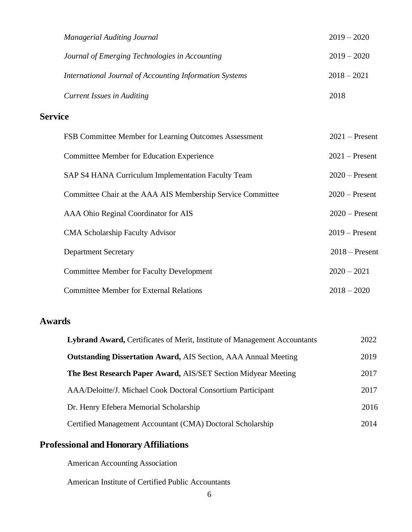|                | <b>Managerial Auditing Journal</b>                          | $2019 - 2020$    |
|----------------|-------------------------------------------------------------|------------------|
|                | Journal of Emerging Technologies in Accounting              | $2019 - 2020$    |
|                | International Journal of Accounting Information Systems     | $2018 - 2021$    |
|                | <b>Current Issues in Auditing</b>                           | 2018             |
| <b>Service</b> |                                                             |                  |
|                | FSB Committee Member for Learning Outcomes Assessment       | $2021$ – Present |
|                | <b>Committee Member for Education Experience</b>            | $2021$ – Present |
|                | SAP S4 HANA Curriculum Implementation Faculty Team          | $2020$ – Present |
|                | Committee Chair at the AAA AIS Membership Service Committee | $2020$ – Present |
|                | AAA Ohio Reginal Coordinator for AIS                        | $2020$ – Present |
|                | <b>CMA Scholarship Faculty Advisor</b>                      | $2019$ – Present |
|                | <b>Department Secretary</b>                                 | $2018$ – Present |
|                | <b>Committee Member for Faculty Development</b>             | $2020 - 2021$    |

| <b>Committee Member for External Relations</b> | $2018 - 2020$ |
|------------------------------------------------|---------------|
|                                                |               |

## **Awards**

| Lybrand Award, Certificates of Merit, Institute of Management Accountants | 2022 |
|---------------------------------------------------------------------------|------|
| <b>Outstanding Dissertation Award, AIS Section, AAA Annual Meeting</b>    | 2019 |
| The Best Research Paper Award, AIS/SET Section Midyear Meeting            | 2017 |
| AAA/Deloitte/J. Michael Cook Doctoral Consortium Participant              | 2017 |
| Dr. Henry Efebera Memorial Scholarship                                    | 2016 |
| Certified Management Accountant (CMA) Doctoral Scholarship                | 2014 |

# **Professional and Honorary Affiliations**

American Accounting Association

American Institute of Certified Public Accountants